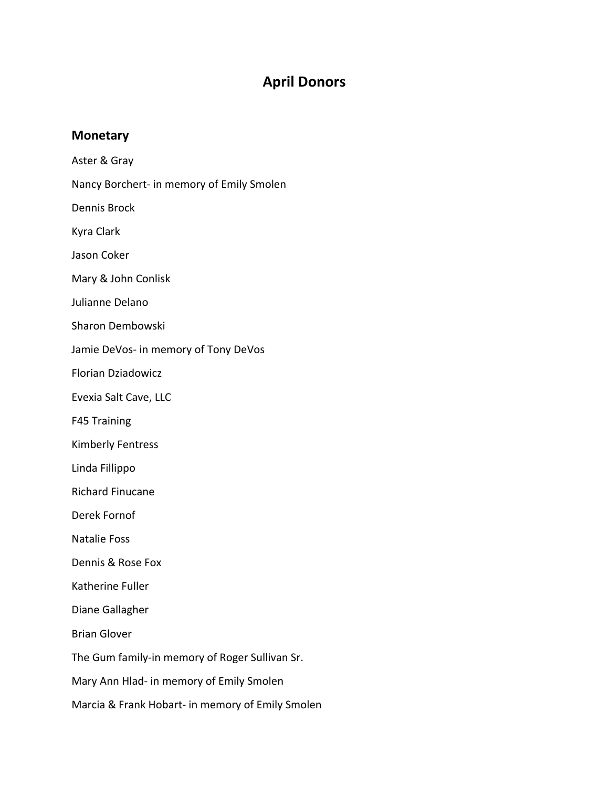## **April Donors**

## **Monetary**

Aster & Gray Nancy Borchert‐ in memory of Emily Smolen Dennis Brock Kyra Clark

Jason Coker

Mary & John Conlisk

Julianne Delano

Sharon Dembowski

Jamie DeVos‐ in memory of Tony DeVos

Florian Dziadowicz

Evexia Salt Cave, LLC

F45 Training

Kimberly Fentress

Linda Fillippo

Richard Finucane

Derek Fornof

Natalie Foss

Dennis & Rose Fox

Katherine Fuller

Diane Gallagher

Brian Glover

The Gum family‐in memory of Roger Sullivan Sr.

Mary Ann Hlad‐ in memory of Emily Smolen

Marcia & Frank Hobart‐ in memory of Emily Smolen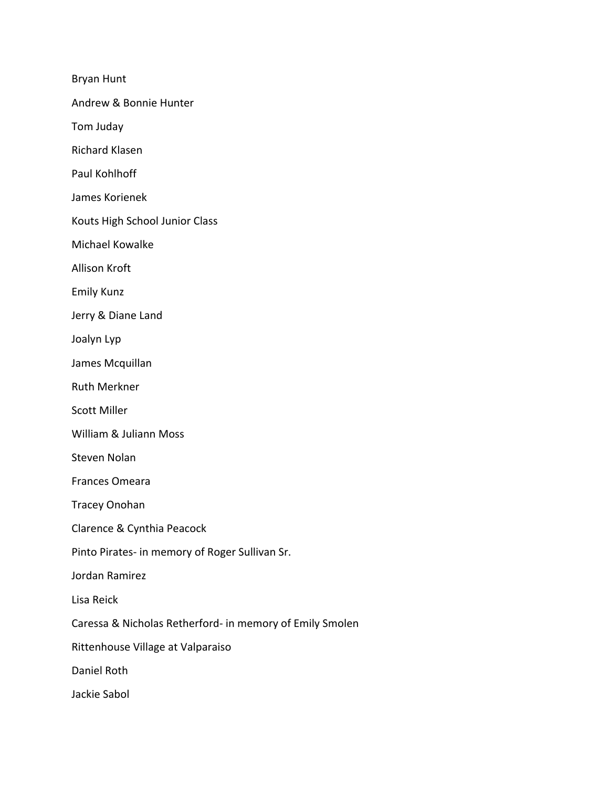Bryan Hunt

Andrew & Bonnie Hunter

Tom Juday

Richard Klasen

Paul Kohlhoff

James Korienek

Kouts High School Junior Class

Michael Kowalke

Allison Kroft

Emily Kunz

Jerry & Diane Land

Joalyn Lyp

James Mcquillan

Ruth Merkner

Scott Miller

William & Juliann Moss

Steven Nolan

Frances Omeara

Tracey Onohan

Clarence & Cynthia Peacock

Pinto Pirates‐ in memory of Roger Sullivan Sr.

Jordan Ramirez

Lisa Reick

Caressa & Nicholas Retherford‐ in memory of Emily Smolen

Rittenhouse Village at Valparaiso

Daniel Roth

Jackie Sabol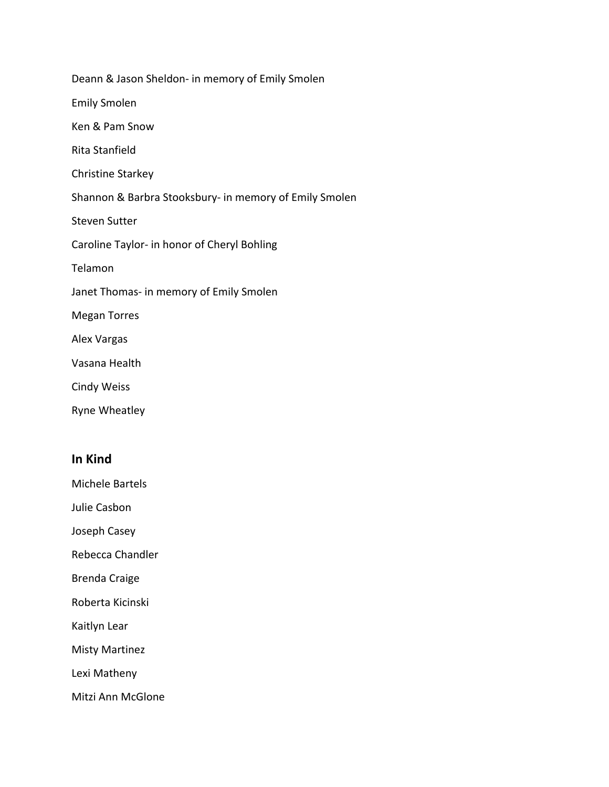| Deann & Jason Sheldon- in memory of Emily Smolen       |
|--------------------------------------------------------|
| <b>Emily Smolen</b>                                    |
| Ken & Pam Snow                                         |
| Rita Stanfield                                         |
| <b>Christine Starkey</b>                               |
| Shannon & Barbra Stooksbury- in memory of Emily Smolen |
| <b>Steven Sutter</b>                                   |
| Caroline Taylor- in honor of Cheryl Bohling            |
| Telamon                                                |
| Janet Thomas- in memory of Emily Smolen                |
| <b>Megan Torres</b>                                    |
| <b>Alex Vargas</b>                                     |
| Vasana Health                                          |
| <b>Cindy Weiss</b>                                     |
| Ryne Wheatley                                          |

## **In Kind**

Michele Bartels

Julie Casbon

Joseph Casey

Rebecca Chandler

Brenda Craige

Roberta Kicinski

Kaitlyn Lear

Misty Martinez

Lexi Matheny

Mitzi Ann McGlone